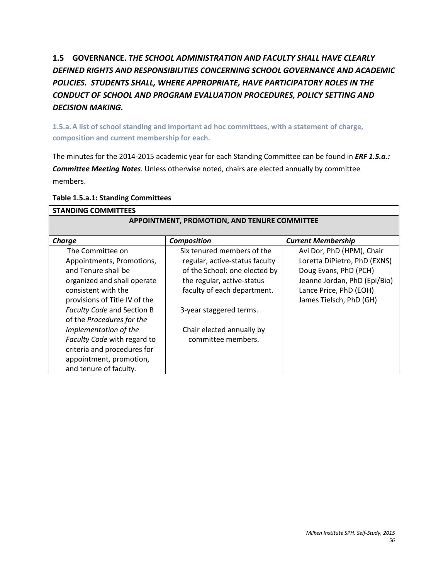# **1.5 GOVERNANCE.** *THE SCHOOL ADMINISTRATION AND FACULTY SHALL HAVE CLEARLY DEFINED RIGHTS AND RESPONSIBILITIES CONCERNING SCHOOL GOVERNANCE AND ACADEMIC POLICIES. STUDENTS SHALL, WHERE APPROPRIATE, HAVE PARTICIPATORY ROLES IN THE CONDUCT OF SCHOOL AND PROGRAM EVALUATION PROCEDURES, POLICY SETTING AND DECISION MAKING.*

**1.5.a.A list of school standing and important ad hoc committees, with a statement of charge, composition and current membership for each.**

The minutes for the 2014-2015 academic year for each Standing Committee can be found in *ERF 1.5.a.: Committee Meeting Notes.* Unless otherwise noted, chairs are elected annually by committee members.

| <b>STANDING COMMITTEES</b>                   |                                |                              |  |
|----------------------------------------------|--------------------------------|------------------------------|--|
| APPOINTMENT, PROMOTION, AND TENURE COMMITTEE |                                |                              |  |
|                                              |                                |                              |  |
| Charge                                       | <b>Composition</b>             | <b>Current Membership</b>    |  |
| The Committee on                             | Six tenured members of the     | Avi Dor, PhD (HPM), Chair    |  |
| Appointments, Promotions,                    | regular, active-status faculty | Loretta DiPietro, PhD (EXNS) |  |
| and Tenure shall be                          | of the School: one elected by  | Doug Evans, PhD (PCH)        |  |
| organized and shall operate                  | the regular, active-status     | Jeanne Jordan, PhD (Epi/Bio) |  |
| consistent with the                          | faculty of each department.    | Lance Price, PhD (EOH)       |  |
| provisions of Title IV of the                |                                | James Tielsch, PhD (GH)      |  |
| Faculty Code and Section B                   | 3-year staggered terms.        |                              |  |
| of the Procedures for the                    |                                |                              |  |
| Implementation of the                        | Chair elected annually by      |                              |  |
| Faculty Code with regard to                  | committee members.             |                              |  |
| criteria and procedures for                  |                                |                              |  |
| appointment, promotion,                      |                                |                              |  |
| and tenure of faculty.                       |                                |                              |  |

#### **Table 1.5.a.1: Standing Committees**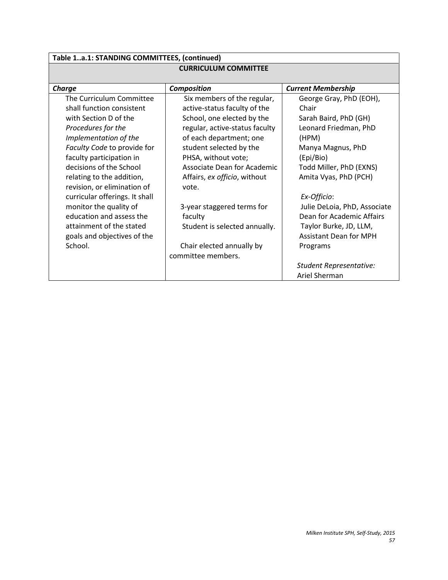| Table 1a.1: STANDING COMMITTEES, (continued)                     |                                                         |                                |  |  |
|------------------------------------------------------------------|---------------------------------------------------------|--------------------------------|--|--|
| <b>CURRICULUM COMMITTEE</b>                                      |                                                         |                                |  |  |
| <b>Charge</b><br><b>Composition</b><br><b>Current Membership</b> |                                                         |                                |  |  |
| The Curriculum Committee                                         | Six members of the regular,                             | George Gray, PhD (EOH),        |  |  |
| shall function consistent                                        | active-status faculty of the<br>Chair                   |                                |  |  |
| with Section D of the                                            | School, one elected by the<br>Sarah Baird, PhD (GH)     |                                |  |  |
| Procedures for the                                               | regular, active-status faculty<br>Leonard Friedman, PhD |                                |  |  |
| Implementation of the<br>of each department; one<br>(HPM)        |                                                         |                                |  |  |
| Faculty Code to provide for<br>student selected by the           |                                                         | Manya Magnus, PhD              |  |  |
| faculty participation in                                         | PHSA, without vote;                                     | (Epi/Bio)                      |  |  |
| decisions of the School                                          | Associate Dean for Academic                             | Todd Miller, PhD (EXNS)        |  |  |
| relating to the addition,                                        | Affairs, ex officio, without                            | Amita Vyas, PhD (PCH)          |  |  |
| revision, or elimination of                                      | vote.                                                   |                                |  |  |
| curricular offerings. It shall                                   |                                                         | Ex-Officio:                    |  |  |
| monitor the quality of                                           | 3-year staggered terms for                              | Julie DeLoia, PhD, Associate   |  |  |
| education and assess the                                         | faculty                                                 | Dean for Academic Affairs      |  |  |
| attainment of the stated                                         | Student is selected annually.                           | Taylor Burke, JD, LLM,         |  |  |
| goals and objectives of the                                      |                                                         | <b>Assistant Dean for MPH</b>  |  |  |
| School.                                                          | Chair elected annually by                               | Programs                       |  |  |
|                                                                  | committee members.                                      |                                |  |  |
|                                                                  |                                                         | <b>Student Representative:</b> |  |  |
|                                                                  |                                                         | Ariel Sherman                  |  |  |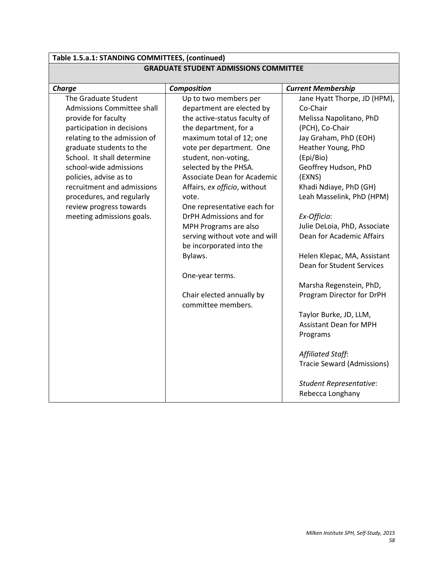| Table 1.5.a.1: STANDING COMMITTEES, (continued) |                                                 |                                   |
|-------------------------------------------------|-------------------------------------------------|-----------------------------------|
| <b>GRADUATE STUDENT ADMISSIONS COMMITTEE</b>    |                                                 |                                   |
| <b>Charge</b>                                   | Composition                                     | <b>Current Membership</b>         |
| The Graduate Student                            | Up to two members per                           | Jane Hyatt Thorpe, JD (HPM),      |
| Admissions Committee shall                      | department are elected by                       | Co-Chair                          |
| provide for faculty                             | the active-status faculty of                    | Melissa Napolitano, PhD           |
| participation in decisions                      | the department, for a                           | (PCH), Co-Chair                   |
| relating to the admission of                    | maximum total of 12; one                        | Jay Graham, PhD (EOH)             |
| graduate students to the                        | vote per department. One                        | Heather Young, PhD                |
| School. It shall determine                      | student, non-voting,                            | (Epi/Bio)                         |
| school-wide admissions                          | selected by the PHSA.                           | Geoffrey Hudson, PhD              |
| policies, advise as to                          | Associate Dean for Academic                     | (EXNS)                            |
| recruitment and admissions                      | Affairs, ex officio, without                    | Khadi Ndiaye, PhD (GH)            |
| procedures, and regularly                       | vote.                                           | Leah Masselink, PhD (HPM)         |
| review progress towards                         | One representative each for                     |                                   |
| meeting admissions goals.                       | DrPH Admissions and for                         | Ex-Officio:                       |
|                                                 | MPH Programs are also                           | Julie DeLoia, PhD, Associate      |
|                                                 | serving without vote and will                   | Dean for Academic Affairs         |
|                                                 | be incorporated into the                        |                                   |
|                                                 | Bylaws.                                         | Helen Klepac, MA, Assistant       |
|                                                 |                                                 | Dean for Student Services         |
|                                                 | One-year terms.                                 |                                   |
|                                                 |                                                 | Marsha Regenstein, PhD,           |
|                                                 | Chair elected annually by<br>committee members. | Program Director for DrPH         |
|                                                 |                                                 | Taylor Burke, JD, LLM,            |
|                                                 |                                                 | <b>Assistant Dean for MPH</b>     |
|                                                 |                                                 | Programs                          |
|                                                 |                                                 |                                   |
|                                                 |                                                 | Affiliated Staff:                 |
|                                                 |                                                 | <b>Tracie Seward (Admissions)</b> |
|                                                 |                                                 | <b>Student Representative:</b>    |
|                                                 |                                                 | Rebecca Longhany                  |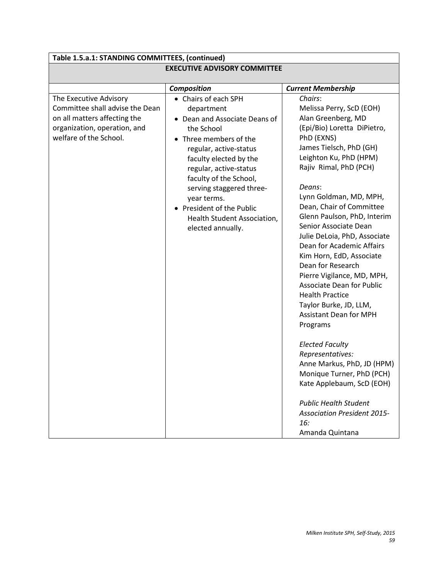| Table 1.5.a.1: STANDING COMMITTEES, (continued)                                                                                                     |                                                                                                                                                                                                                                                                                                                                                 |                                                                                                                                                                                                                                                                                                                                                                                                                                                                                                                                                                                                                                                                                                                                                                                                                                      |  |
|-----------------------------------------------------------------------------------------------------------------------------------------------------|-------------------------------------------------------------------------------------------------------------------------------------------------------------------------------------------------------------------------------------------------------------------------------------------------------------------------------------------------|--------------------------------------------------------------------------------------------------------------------------------------------------------------------------------------------------------------------------------------------------------------------------------------------------------------------------------------------------------------------------------------------------------------------------------------------------------------------------------------------------------------------------------------------------------------------------------------------------------------------------------------------------------------------------------------------------------------------------------------------------------------------------------------------------------------------------------------|--|
| <b>EXECUTIVE ADVISORY COMMITTEE</b>                                                                                                                 |                                                                                                                                                                                                                                                                                                                                                 |                                                                                                                                                                                                                                                                                                                                                                                                                                                                                                                                                                                                                                                                                                                                                                                                                                      |  |
|                                                                                                                                                     | Composition                                                                                                                                                                                                                                                                                                                                     | <b>Current Membership</b>                                                                                                                                                                                                                                                                                                                                                                                                                                                                                                                                                                                                                                                                                                                                                                                                            |  |
| The Executive Advisory<br>Committee shall advise the Dean<br>on all matters affecting the<br>organization, operation, and<br>welfare of the School. | • Chairs of each SPH<br>department<br>• Dean and Associate Deans of<br>the School<br>• Three members of the<br>regular, active-status<br>faculty elected by the<br>regular, active-status<br>faculty of the School,<br>serving staggered three-<br>year terms.<br>• President of the Public<br>Health Student Association,<br>elected annually. | Chairs:<br>Melissa Perry, ScD (EOH)<br>Alan Greenberg, MD<br>(Epi/Bio) Loretta DiPietro,<br>PhD (EXNS)<br>James Tielsch, PhD (GH)<br>Leighton Ku, PhD (HPM)<br>Rajiv Rimal, PhD (PCH)<br>Deans:<br>Lynn Goldman, MD, MPH,<br>Dean, Chair of Committee<br>Glenn Paulson, PhD, Interim<br>Senior Associate Dean<br>Julie DeLoia, PhD, Associate<br>Dean for Academic Affairs<br>Kim Horn, EdD, Associate<br>Dean for Research<br>Pierre Vigilance, MD, MPH,<br><b>Associate Dean for Public</b><br><b>Health Practice</b><br>Taylor Burke, JD, LLM,<br><b>Assistant Dean for MPH</b><br>Programs<br><b>Elected Faculty</b><br>Representatives:<br>Anne Markus, PhD, JD (HPM)<br>Monique Turner, PhD (PCH)<br>Kate Applebaum, ScD (EOH)<br><b>Public Health Student</b><br><b>Association President 2015-</b><br>16:<br>Amanda Quintana |  |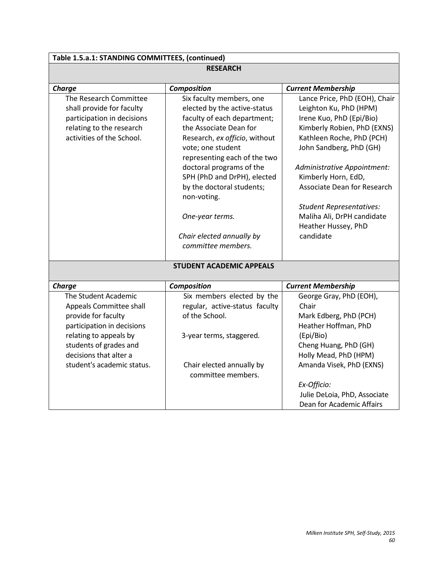# **Table 1.5.a.1: STANDING COMMITTEES, (continued)**

| <b>RESEARCH</b>            |                                 |                                    |
|----------------------------|---------------------------------|------------------------------------|
| <b>Charge</b>              | Composition                     | <b>Current Membership</b>          |
| The Research Committee     | Six faculty members, one        | Lance Price, PhD (EOH), Chair      |
| shall provide for faculty  | elected by the active-status    | Leighton Ku, PhD (HPM)             |
| participation in decisions | faculty of each department;     | Irene Kuo, PhD (Epi/Bio)           |
| relating to the research   | the Associate Dean for          | Kimberly Robien, PhD (EXNS)        |
| activities of the School.  | Research, ex officio, without   | Kathleen Roche, PhD (PCH)          |
|                            | vote; one student               | John Sandberg, PhD (GH)            |
|                            | representing each of the two    |                                    |
|                            | doctoral programs of the        | Administrative Appointment:        |
|                            | SPH (PhD and DrPH), elected     | Kimberly Horn, EdD,                |
|                            | by the doctoral students;       | <b>Associate Dean for Research</b> |
|                            | non-voting.                     |                                    |
|                            |                                 | <b>Student Representatives:</b>    |
|                            | One-year terms.                 | Maliha Ali, DrPH candidate         |
|                            |                                 | Heather Hussey, PhD                |
|                            | Chair elected annually by       | candidate                          |
|                            | committee members.              |                                    |
|                            | <b>STUDENT ACADEMIC APPEALS</b> |                                    |
| <b>Charge</b>              | <b>Composition</b>              | <b>Current Membership</b>          |
| The Student Academic       | Six members elected by the      | George Gray, PhD (EOH),            |
| Appeals Committee shall    | regular, active-status faculty  | Chair                              |
| provide for faculty        | of the School.                  | Mark Edberg, PhD (PCH)             |
| participation in decisions |                                 | Heather Hoffman, PhD               |
| relating to appeals by     | 3-year terms, staggered.        | (Epi/Bio)                          |
| students of grades and     |                                 | Cheng Huang, PhD (GH)              |
| decisions that alter a     |                                 | Holly Mead, PhD (HPM)              |
| student's academic status. | Chair elected annually by       | Amanda Visek, PhD (EXNS)           |
|                            | committee members.              |                                    |
|                            |                                 | Ex-Officio:                        |
|                            |                                 | Julie DeLoia, PhD, Associate       |
|                            |                                 | Dean for Academic Affairs          |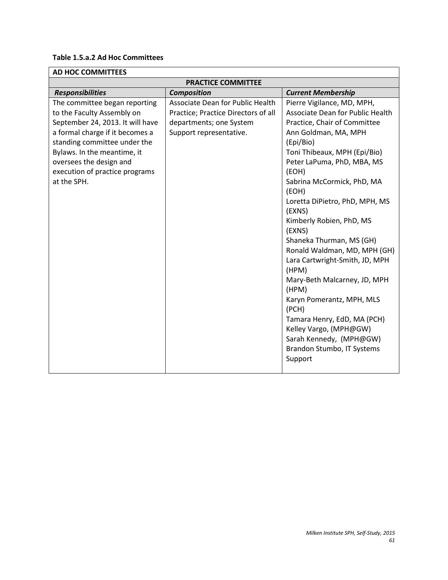### **Table 1.5.a.2 Ad Hoc Committees**

| <b>AD HOC COMMITTEES</b>                                                                                                                                                                                                                                                      |                                                                                                                               |                                                                                                                                                                                                                                                                                                                                                                                                                                                                                                                                                                                                                                                        |  |
|-------------------------------------------------------------------------------------------------------------------------------------------------------------------------------------------------------------------------------------------------------------------------------|-------------------------------------------------------------------------------------------------------------------------------|--------------------------------------------------------------------------------------------------------------------------------------------------------------------------------------------------------------------------------------------------------------------------------------------------------------------------------------------------------------------------------------------------------------------------------------------------------------------------------------------------------------------------------------------------------------------------------------------------------------------------------------------------------|--|
| <b>PRACTICE COMMITTEE</b>                                                                                                                                                                                                                                                     |                                                                                                                               |                                                                                                                                                                                                                                                                                                                                                                                                                                                                                                                                                                                                                                                        |  |
| <b>Responsibilities</b>                                                                                                                                                                                                                                                       | <b>Composition</b>                                                                                                            | <b>Current Membership</b>                                                                                                                                                                                                                                                                                                                                                                                                                                                                                                                                                                                                                              |  |
| The committee began reporting<br>to the Faculty Assembly on<br>September 24, 2013. It will have<br>a formal charge if it becomes a<br>standing committee under the<br>Bylaws. In the meantime, it<br>oversees the design and<br>execution of practice programs<br>at the SPH. | Associate Dean for Public Health<br>Practice; Practice Directors of all<br>departments; one System<br>Support representative. | Pierre Vigilance, MD, MPH,<br>Associate Dean for Public Health<br>Practice, Chair of Committee<br>Ann Goldman, MA, MPH<br>(Epi/Bio)<br>Toni Thibeaux, MPH (Epi/Bio)<br>Peter LaPuma, PhD, MBA, MS<br>(EOH)<br>Sabrina McCormick, PhD, MA<br>(EOH)<br>Loretta DiPietro, PhD, MPH, MS<br>(EXNS)<br>Kimberly Robien, PhD, MS<br>(EXNS)<br>Shaneka Thurman, MS (GH)<br>Ronald Waldman, MD, MPH (GH)<br>Lara Cartwright-Smith, JD, MPH<br>(HPM)<br>Mary-Beth Malcarney, JD, MPH<br>(HPM)<br>Karyn Pomerantz, MPH, MLS<br>(PCH)<br>Tamara Henry, EdD, MA (PCH)<br>Kelley Vargo, (MPH@GW)<br>Sarah Kennedy, (MPH@GW)<br>Brandon Stumbo, IT Systems<br>Support |  |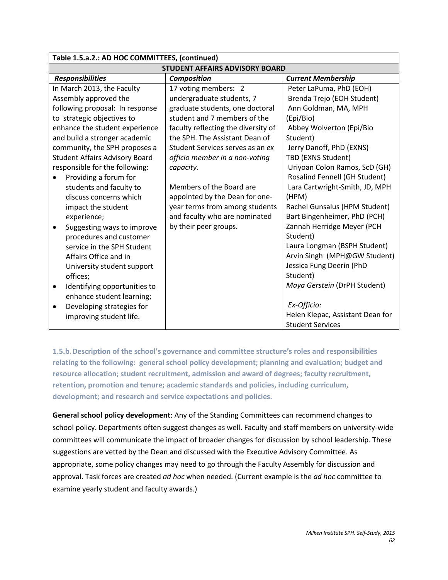| Table 1.5.a.2.: AD HOC COMMITTEES, (continued) |  |                                                 |                                  |
|------------------------------------------------|--|-------------------------------------------------|----------------------------------|
| <b>STUDENT AFFAIRS ADVISORY BOARD</b>          |  |                                                 |                                  |
| <b>Responsibilities</b>                        |  | <b>Current Membership</b><br><b>Composition</b> |                                  |
| In March 2013, the Faculty                     |  | 17 voting members: 2                            | Peter LaPuma, PhD (EOH)          |
| Assembly approved the                          |  | undergraduate students, 7                       | Brenda Trejo (EOH Student)       |
| following proposal: In response                |  | graduate students, one doctoral                 | Ann Goldman, MA, MPH             |
| to strategic objectives to                     |  | student and 7 members of the                    | (Epi/Bio)                        |
| enhance the student experience                 |  | faculty reflecting the diversity of             | Abbey Wolverton (Epi/Bio         |
| and build a stronger academic                  |  | the SPH. The Assistant Dean of                  | Student)                         |
| community, the SPH proposes a                  |  | Student Services serves as an ex                | Jerry Danoff, PhD (EXNS)         |
| <b>Student Affairs Advisory Board</b>          |  | officio member in a non-voting                  | TBD (EXNS Student)               |
| responsible for the following:                 |  | capacity.                                       | Uriyoan Colon Ramos, ScD (GH)    |
| Providing a forum for                          |  |                                                 | Rosalind Fennell (GH Student)    |
| students and faculty to                        |  | Members of the Board are                        | Lara Cartwright-Smith, JD, MPH   |
| discuss concerns which                         |  | appointed by the Dean for one-                  | (HPM)                            |
| impact the student                             |  | year terms from among students                  | Rachel Gunsalus (HPM Student)    |
| experience;                                    |  | and faculty who are nominated                   | Bart Bingenheimer, PhD (PCH)     |
| Suggesting ways to improve<br>$\bullet$        |  | by their peer groups.                           | Zannah Herridge Meyer (PCH       |
| procedures and customer                        |  |                                                 | Student)                         |
| service in the SPH Student                     |  |                                                 | Laura Longman (BSPH Student)     |
| Affairs Office and in                          |  |                                                 | Arvin Singh (MPH@GW Student)     |
| University student support                     |  |                                                 | Jessica Fung Deerin (PhD         |
| offices;                                       |  |                                                 | Student)                         |
| Identifying opportunities to<br>$\bullet$      |  |                                                 | Maya Gerstein (DrPH Student)     |
| enhance student learning;                      |  |                                                 |                                  |
| Developing strategies for<br>$\bullet$         |  |                                                 | Ex-Officio:                      |
| improving student life.                        |  |                                                 | Helen Klepac, Assistant Dean for |
|                                                |  |                                                 | <b>Student Services</b>          |

**1.5.b.Description of the school's governance and committee structure's roles and responsibilities relating to the following: general school policy development; planning and evaluation; budget and resource allocation; student recruitment, admission and award of degrees; faculty recruitment, retention, promotion and tenure; academic standards and policies, including curriculum, development; and research and service expectations and policies.**

**General school policy development**: Any of the Standing Committees can recommend changes to school policy. Departments often suggest changes as well. Faculty and staff members on university-wide committees will communicate the impact of broader changes for discussion by school leadership. These suggestions are vetted by the Dean and discussed with the Executive Advisory Committee. As appropriate, some policy changes may need to go through the Faculty Assembly for discussion and approval. Task forces are created *ad hoc* when needed. (Current example is the *ad hoc* committee to examine yearly student and faculty awards.)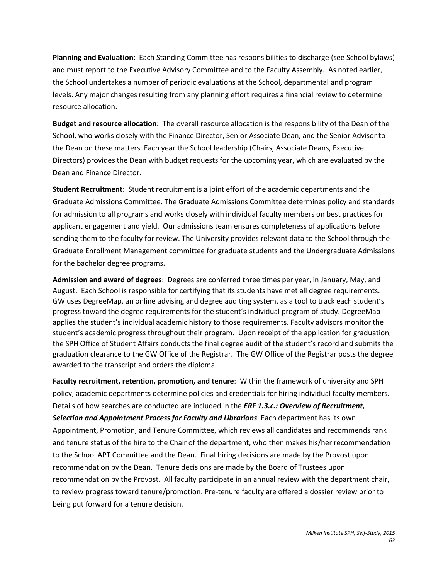**Planning and Evaluation**: Each Standing Committee has responsibilities to discharge (see School bylaws) and must report to the Executive Advisory Committee and to the Faculty Assembly. As noted earlier, the School undertakes a number of periodic evaluations at the School, departmental and program levels. Any major changes resulting from any planning effort requires a financial review to determine resource allocation.

**Budget and resource allocation**: The overall resource allocation is the responsibility of the Dean of the School, who works closely with the Finance Director, Senior Associate Dean, and the Senior Advisor to the Dean on these matters. Each year the School leadership (Chairs, Associate Deans, Executive Directors) provides the Dean with budget requests for the upcoming year, which are evaluated by the Dean and Finance Director.

**Student Recruitment**: Student recruitment is a joint effort of the academic departments and the Graduate Admissions Committee. The Graduate Admissions Committee determines policy and standards for admission to all programs and works closely with individual faculty members on best practices for applicant engagement and yield. Our admissions team ensures completeness of applications before sending them to the faculty for review. The University provides relevant data to the School through the Graduate Enrollment Management committee for graduate students and the Undergraduate Admissions for the bachelor degree programs.

**Admission and award of degrees**: Degrees are conferred three times per year, in January, May, and August. Each School is responsible for certifying that its students have met all degree requirements. GW uses DegreeMap, an online advising and degree auditing system, as a tool to track each student's progress toward the degree requirements for the student's individual program of study. DegreeMap applies the student's individual academic history to those requirements. Faculty advisors monitor the student's academic progress throughout their program. Upon receipt of the application for graduation, the SPH Office of Student Affairs conducts the final degree audit of the student's record and submits the graduation clearance to the GW Office of the Registrar. The GW Office of the Registrar posts the degree awarded to the transcript and orders the diploma.

**Faculty recruitment, retention, promotion, and tenure**: Within the framework of university and SPH policy, academic departments determine policies and credentials for hiring individual faculty members. Details of how searches are conducted are included in the *ERF 1.3.c.: Overview of Recruitment, Selection and Appointment Process for Faculty and Librarians*. Each department has its own Appointment, Promotion, and Tenure Committee, which reviews all candidates and recommends rank and tenure status of the hire to the Chair of the department, who then makes his/her recommendation to the School APT Committee and the Dean. Final hiring decisions are made by the Provost upon recommendation by the Dean. Tenure decisions are made by the Board of Trustees upon recommendation by the Provost. All faculty participate in an annual review with the department chair, to review progress toward tenure/promotion. Pre-tenure faculty are offered a dossier review prior to being put forward for a tenure decision.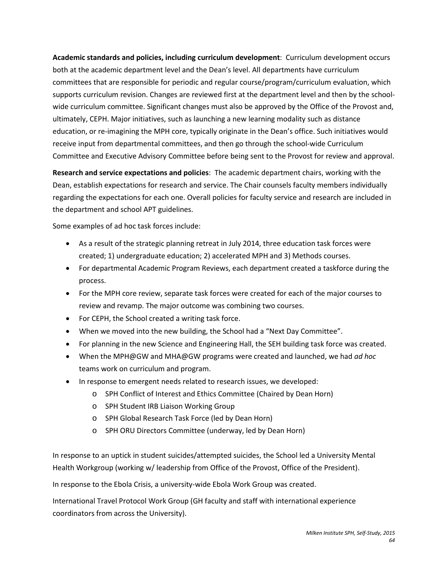**Academic standards and policies, including curriculum development**: Curriculum development occurs both at the academic department level and the Dean's level. All departments have curriculum committees that are responsible for periodic and regular course/program/curriculum evaluation, which supports curriculum revision. Changes are reviewed first at the department level and then by the schoolwide curriculum committee. Significant changes must also be approved by the Office of the Provost and, ultimately, CEPH. Major initiatives, such as launching a new learning modality such as distance education, or re-imagining the MPH core, typically originate in the Dean's office. Such initiatives would receive input from departmental committees, and then go through the school-wide Curriculum Committee and Executive Advisory Committee before being sent to the Provost for review and approval.

**Research and service expectations and policies**: The academic department chairs, working with the Dean, establish expectations for research and service. The Chair counsels faculty members individually regarding the expectations for each one. Overall policies for faculty service and research are included in the department and school APT guidelines.

Some examples of ad hoc task forces include:

- As a result of the strategic planning retreat in July 2014, three education task forces were created; 1) undergraduate education; 2) accelerated MPH and 3) Methods courses.
- For departmental Academic Program Reviews, each department created a taskforce during the process.
- For the MPH core review, separate task forces were created for each of the major courses to review and revamp. The major outcome was combining two courses.
- For CEPH, the School created a writing task force.
- When we moved into the new building, the School had a "Next Day Committee".
- For planning in the new Science and Engineering Hall, the SEH building task force was created.
- When the MPH@GW and MHA@GW programs were created and launched, we had *ad hoc* teams work on curriculum and program.
- In response to emergent needs related to research issues, we developed:
	- o SPH Conflict of Interest and Ethics Committee (Chaired by Dean Horn)
	- o SPH Student IRB Liaison Working Group
	- o SPH Global Research Task Force (led by Dean Horn)
	- o SPH ORU Directors Committee (underway, led by Dean Horn)

In response to an uptick in student suicides/attempted suicides, the School led a University Mental Health Workgroup (working w/ leadership from Office of the Provost, Office of the President).

In response to the Ebola Crisis, a university-wide Ebola Work Group was created.

International Travel Protocol Work Group (GH faculty and staff with international experience coordinators from across the University).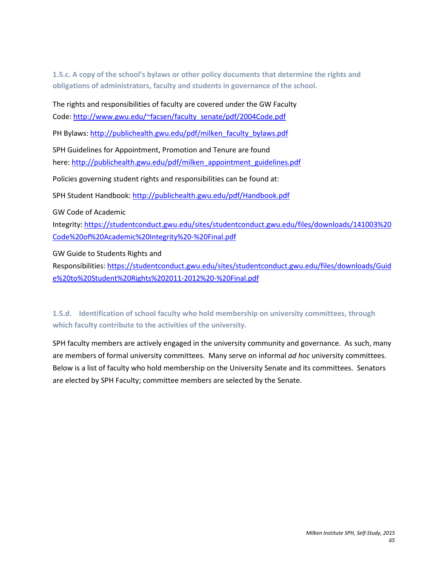**1.5.c. A copy of the school's bylaws or other policy documents that determine the rights and obligations of administrators, faculty and students in governance of the school.**

The rights and responsibilities of faculty are covered under the GW Faculty Code: [http://www.gwu.edu/~facsen/faculty\\_senate/pdf/2004Code.pdf](http://www.gwu.edu/%7Efacsen/faculty_senate/pdf/2004Code.pdf)

PH Bylaws: [http://publichealth.gwu.edu/pdf/milken\\_faculty\\_bylaws.pdf](http://publichealth.gwu.edu/pdf/milken_faculty_bylaws.pdf) 

SPH Guidelines for Appointment, Promotion and Tenure are found here: [http://publichealth.gwu.edu/pdf/milken\\_appointment\\_guidelines.pdf](http://publichealth.gwu.edu/pdf/milken_appointment_guidelines.pdf)

Policies governing student rights and responsibilities can be found at:

SPH Student Handbook:<http://publichealth.gwu.edu/pdf/Handbook.pdf>

GW Code of Academic

Integrity: [https://studentconduct.gwu.edu/sites/studentconduct.gwu.edu/files/downloads/141003%20](https://studentconduct.gwu.edu/sites/studentconduct.gwu.edu/files/downloads/141003%20Code%20of%20Academic%20Integrity%20-%20Final.pdf) [Code%20of%20Academic%20Integrity%20-%20Final.pdf](https://studentconduct.gwu.edu/sites/studentconduct.gwu.edu/files/downloads/141003%20Code%20of%20Academic%20Integrity%20-%20Final.pdf)

GW Guide to Students Rights and

Responsibilities[: https://studentconduct.gwu.edu/sites/studentconduct.gwu.edu/files/downloads/Guid](https://studentconduct.gwu.edu/sites/studentconduct.gwu.edu/files/downloads/Guide%20to%20Student%20Rights%202011-2012%20-%20Final.pdf) [e%20to%20Student%20Rights%202011-2012%20-%20Final.pdf](https://studentconduct.gwu.edu/sites/studentconduct.gwu.edu/files/downloads/Guide%20to%20Student%20Rights%202011-2012%20-%20Final.pdf)

# **1.5.d. Identification of school faculty who hold membership on university committees, through which faculty contribute to the activities of the university.**

SPH faculty members are actively engaged in the university community and governance. As such, many are members of formal university committees. Many serve on informal *ad hoc* university committees. Below is a list of faculty who hold membership on the University Senate and its committees. Senators are elected by SPH Faculty; committee members are selected by the Senate.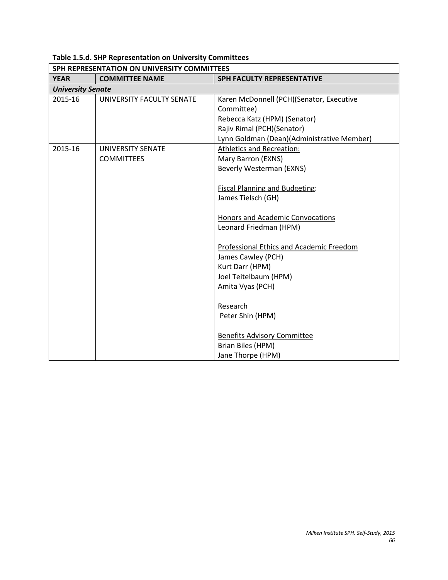|                          | SPH REPRESENTATION ON UNIVERSITY COMMITTEES |                                            |  |
|--------------------------|---------------------------------------------|--------------------------------------------|--|
| <b>YEAR</b>              | <b>COMMITTEE NAME</b>                       | <b>SPH FACULTY REPRESENTATIVE</b>          |  |
| <b>University Senate</b> |                                             |                                            |  |
| 2015-16                  | UNIVERSITY FACULTY SENATE                   | Karen McDonnell (PCH)(Senator, Executive   |  |
|                          |                                             | Committee)                                 |  |
|                          |                                             | Rebecca Katz (HPM) (Senator)               |  |
|                          |                                             | Rajiv Rimal (PCH)(Senator)                 |  |
|                          |                                             | Lynn Goldman (Dean)(Administrative Member) |  |
| 2015-16                  | <b>UNIVERSITY SENATE</b>                    | <b>Athletics and Recreation:</b>           |  |
|                          | <b>COMMITTEES</b>                           | Mary Barron (EXNS)                         |  |
|                          |                                             | Beverly Westerman (EXNS)                   |  |
|                          |                                             |                                            |  |
|                          |                                             | <b>Fiscal Planning and Budgeting:</b>      |  |
|                          |                                             | James Tielsch (GH)                         |  |
|                          |                                             |                                            |  |
|                          |                                             | Honors and Academic Convocations           |  |
|                          |                                             | Leonard Friedman (HPM)                     |  |
|                          |                                             | Professional Ethics and Academic Freedom   |  |
|                          |                                             | James Cawley (PCH)                         |  |
|                          |                                             | Kurt Darr (HPM)                            |  |
|                          |                                             | Joel Teitelbaum (HPM)                      |  |
|                          |                                             | Amita Vyas (PCH)                           |  |
|                          |                                             |                                            |  |
|                          |                                             | Research                                   |  |
|                          |                                             | Peter Shin (HPM)                           |  |
|                          |                                             | <b>Benefits Advisory Committee</b>         |  |
|                          |                                             | Brian Biles (HPM)                          |  |
|                          |                                             | Jane Thorpe (HPM)                          |  |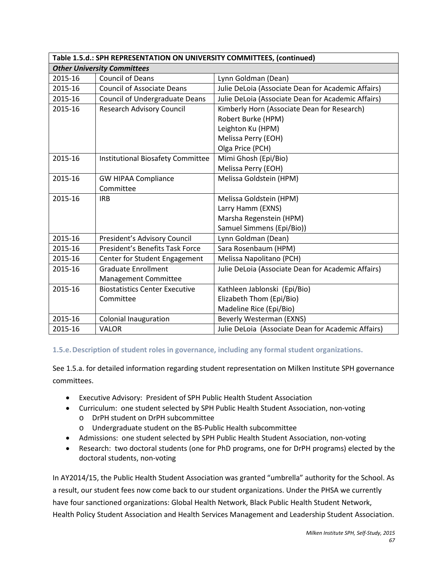| Table 1.5.d.: SPH REPRESENTATION ON UNIVERSITY COMMITTEES, (continued) |                                       |                                                    |  |
|------------------------------------------------------------------------|---------------------------------------|----------------------------------------------------|--|
| <b>Other University Committees</b>                                     |                                       |                                                    |  |
| 2015-16                                                                | <b>Council of Deans</b>               | Lynn Goldman (Dean)                                |  |
| 2015-16                                                                | <b>Council of Associate Deans</b>     | Julie DeLoia (Associate Dean for Academic Affairs) |  |
| 2015-16                                                                | <b>Council of Undergraduate Deans</b> | Julie DeLoia (Associate Dean for Academic Affairs) |  |
| 2015-16                                                                | <b>Research Advisory Council</b>      | Kimberly Horn (Associate Dean for Research)        |  |
|                                                                        |                                       | Robert Burke (HPM)                                 |  |
|                                                                        |                                       | Leighton Ku (HPM)                                  |  |
|                                                                        |                                       | Melissa Perry (EOH)                                |  |
|                                                                        |                                       | Olga Price (PCH)                                   |  |
| 2015-16                                                                | Institutional Biosafety Committee     | Mimi Ghosh (Epi/Bio)                               |  |
|                                                                        |                                       | Melissa Perry (EOH)                                |  |
| 2015-16                                                                | <b>GW HIPAA Compliance</b>            | Melissa Goldstein (HPM)                            |  |
|                                                                        | Committee                             |                                                    |  |
| 2015-16                                                                | <b>IRB</b>                            | Melissa Goldstein (HPM)                            |  |
|                                                                        |                                       | Larry Hamm (EXNS)                                  |  |
|                                                                        |                                       | Marsha Regenstein (HPM)                            |  |
|                                                                        |                                       | Samuel Simmens (Epi/Bio))                          |  |
| 2015-16                                                                | President's Advisory Council          | Lynn Goldman (Dean)                                |  |
| 2015-16                                                                | President's Benefits Task Force       | Sara Rosenbaum (HPM)                               |  |
| 2015-16                                                                | Center for Student Engagement         | Melissa Napolitano (PCH)                           |  |
| 2015-16                                                                | <b>Graduate Enrollment</b>            | Julie DeLoia (Associate Dean for Academic Affairs) |  |
|                                                                        | <b>Management Committee</b>           |                                                    |  |
| 2015-16                                                                | <b>Biostatistics Center Executive</b> | Kathleen Jablonski (Epi/Bio)                       |  |
|                                                                        | Committee                             | Elizabeth Thom (Epi/Bio)                           |  |
|                                                                        |                                       | Madeline Rice (Epi/Bio)                            |  |
| 2015-16                                                                | <b>Colonial Inauguration</b>          | Beverly Westerman (EXNS)                           |  |
| 2015-16                                                                | <b>VALOR</b>                          | Julie DeLoia (Associate Dean for Academic Affairs) |  |

## **1.5.e.Description of student roles in governance, including any formal student organizations.**

See 1.5.a. for detailed information regarding student representation on Milken Institute SPH governance committees.

- Executive Advisory: President of SPH Public Health Student Association
- Curriculum: one student selected by SPH Public Health Student Association, non-voting o DrPH student on DrPH subcommittee
	- o Undergraduate student on the BS-Public Health subcommittee
- Admissions: one student selected by SPH Public Health Student Association, non-voting
- Research: two doctoral students (one for PhD programs, one for DrPH programs) elected by the doctoral students, non-voting

In AY2014/15, the Public Health Student Association was granted "umbrella" authority for the School. As a result, our student fees now come back to our student organizations. Under the PHSA we currently have four sanctioned organizations: Global Health Network, Black Public Health Student Network, Health Policy Student Association and Health Services Management and Leadership Student Association.